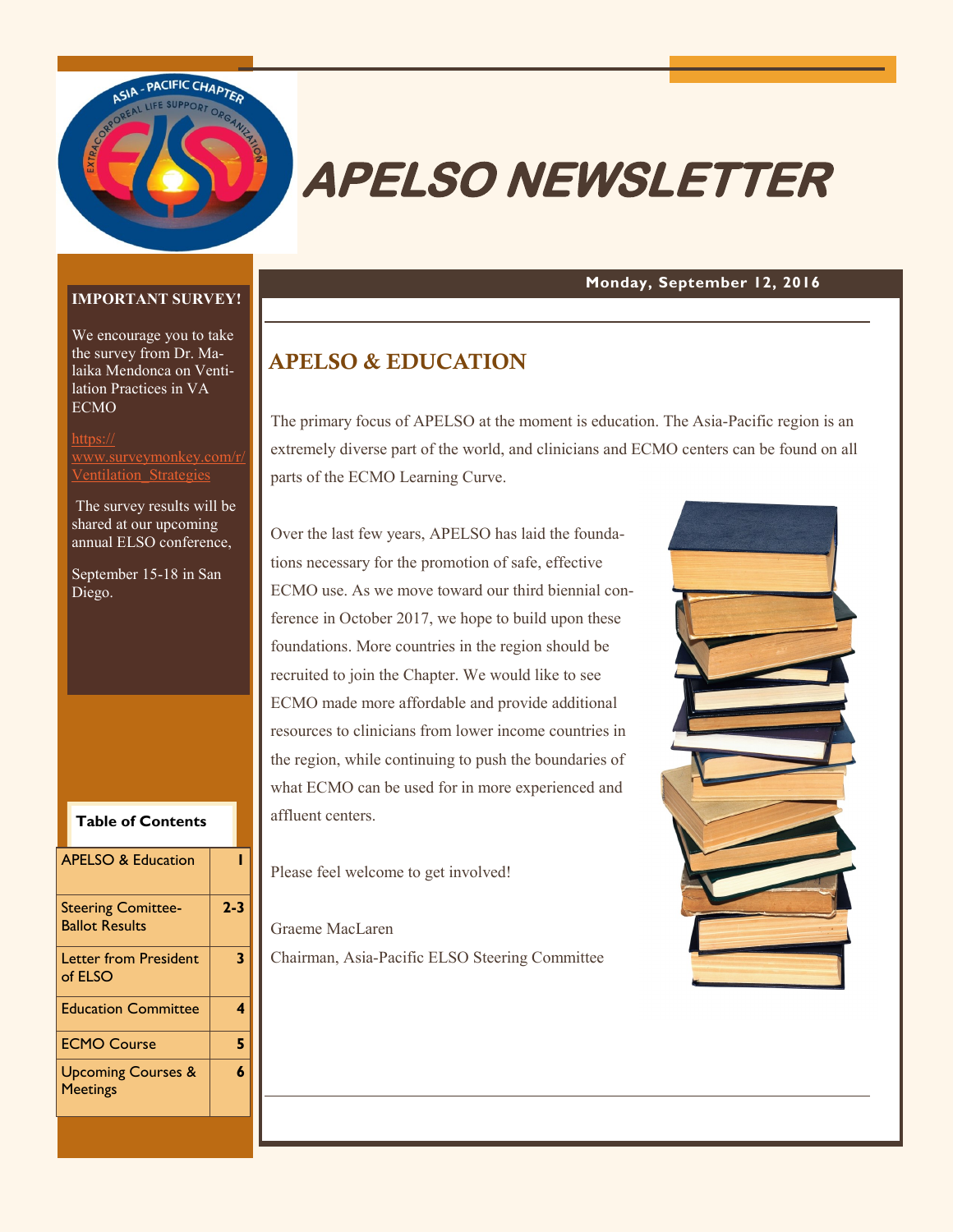

# **APELSO NEWSLETTER**

#### **Monday, September 12, 2016**

#### **IMPORTANT SURVEY!**

We encourage you to take the survey from Dr. Malaika Mendonca on Ventilation Practices in VA ECMO

[https://](https://www.surveymonkey.com/r/Ventilation_Strategies) nkey.com/ $\epsilon$ [Ventilation\\_Strategies](https://www.surveymonkey.com/r/Ventilation_Strategies)

The survey results will be shared at our upcoming annual ELSO conference,

September 15-18 in San Diego.

| <b>APELSO &amp; Education</b>                      |         |
|----------------------------------------------------|---------|
| <b>Steering Comittee-</b><br><b>Ballot Results</b> | $2 - 3$ |
| <b>Letter from President</b><br>of ELSO            | 3       |
| <b>Education Committee</b>                         | 4       |
| <b>ECMO Course</b>                                 | 5       |
| <b>Upcoming Courses &amp;</b><br><b>Meetings</b>   | 6       |
|                                                    |         |

**Table of Contents**

## **APELSO & EDUCATION**

The primary focus of APELSO at the moment is education. The Asia-Pacific region is an extremely diverse part of the world, and clinicians and ECMO centers can be found on all parts of the ECMO Learning Curve.

Over the last few years, APELSO has laid the foundations necessary for the promotion of safe, effective ECMO use. As we move toward our third biennial conference in October 2017, we hope to build upon these foundations. More countries in the region should be recruited to join the Chapter. We would like to see ECMO made more affordable and provide additional resources to clinicians from lower income countries in the region, while continuing to push the boundaries of what ECMO can be used for in more experienced and affluent centers.

Please feel welcome to get involved!

Graeme MacLaren

Chairman, Asia-Pacific ELSO Steering Committee

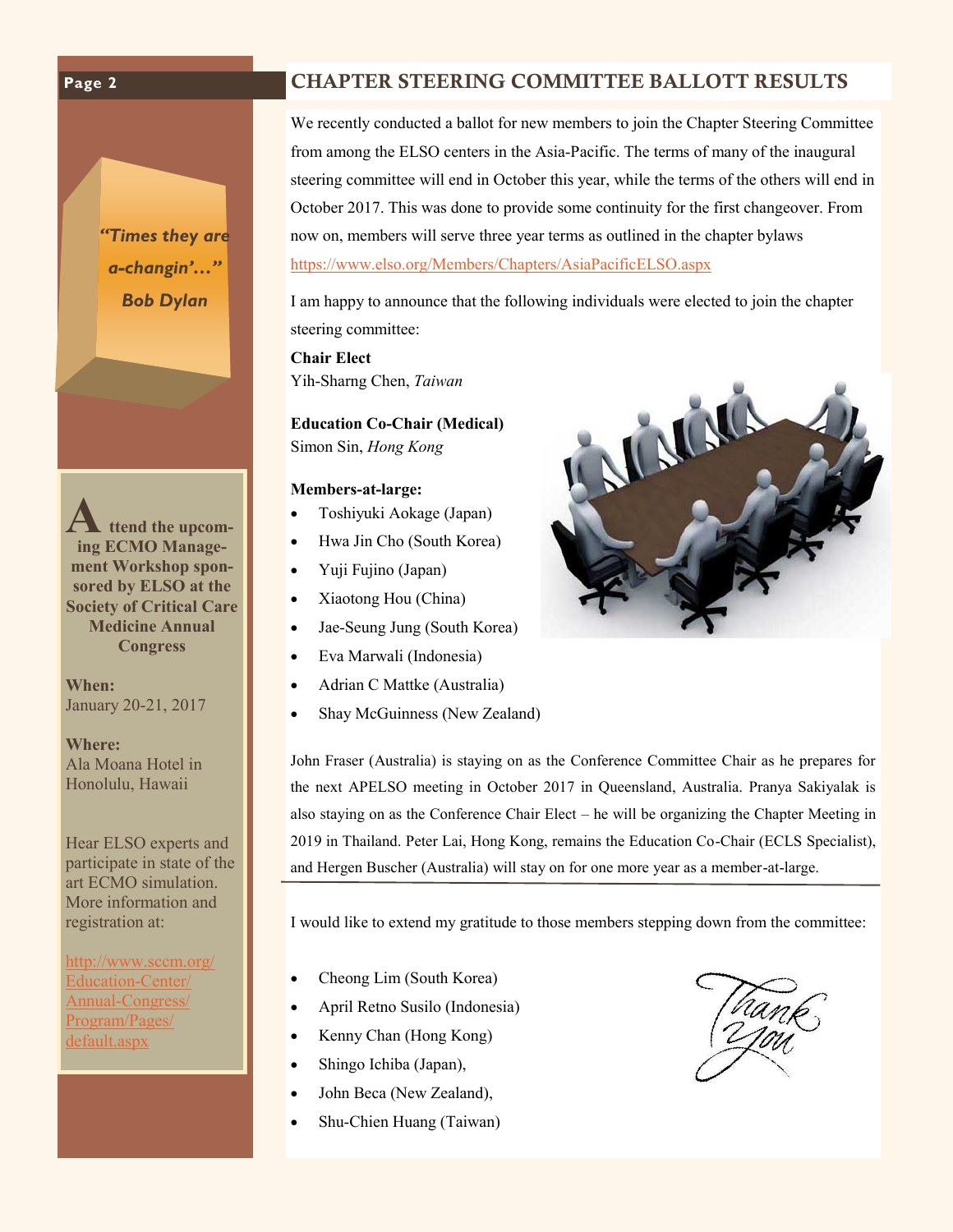#### **APELSO NEWSLETTER CHAPTER STEERING COMMITTEE BALLOTT RESULTS**

*"Times they are a-changin'…" Bob Dylan*

**Attend the upcoming ECMO Management Workshop sponsored by ELSO at the Society of Critical Care Medicine Annual Congress** 

**When:**  January 20-21, 2017

**Where:** Ala Moana Hotel in Honolulu, Hawaii

Hear ELSO experts and participate in state of the art ECMO simulation. More information and registration at:

[http://www.sccm.org/](http://www.sccm.org/Education-Center/Annual-Congress/Program/Pages/default.aspx) [Education](http://www.sccm.org/Education-Center/Annual-Congress/Program/Pages/default.aspx)-Center/ Annual-[Congress/](http://www.sccm.org/Education-Center/Annual-Congress/Program/Pages/default.aspx) [Program/Pages/](http://www.sccm.org/Education-Center/Annual-Congress/Program/Pages/default.aspx) [default.aspx](http://www.sccm.org/Education-Center/Annual-Congress/Program/Pages/default.aspx)

We recently conducted a ballot for new members to join the Chapter Steering Committee from among the ELSO centers in the Asia-Pacific. The terms of many of the inaugural steering committee will end in October this year, while the terms of the others will end in October 2017. This was done to provide some continuity for the first changeover. From now on, members will serve three year terms as outlined in the chapter bylaws <https://www.elso.org/Members/Chapters/AsiaPacificELSO.aspx>

I am happy to announce that the following individuals were elected to join the chapter steering committee:

**Chair Elect** Yih-Sharng Chen, *Taiwan*

**Education Co-Chair (Medical)** Simon Sin, *Hong Kong* 

#### **Members-at-large:**

- Toshiyuki Aokage (Japan)
- Hwa Jin Cho (South Korea)
- Yuji Fujino (Japan)
- Xiaotong Hou (China)
- Jae-Seung Jung (South Korea)
- Eva Marwali (Indonesia)
- Adrian C Mattke (Australia)
- Shay McGuinness (New Zealand)

John Fraser (Australia) is staying on as the Conference Committee Chair as he prepares for the next APELSO meeting in October 2017 in Queensland, Australia. Pranya Sakiyalak is also staying on as the Conference Chair Elect – he will be organizing the Chapter Meeting in 2019 in Thailand. Peter Lai, Hong Kong, remains the Education Co-Chair (ECLS Specialist), and Hergen Buscher (Australia) will stay on for one more year as a member-at-large.

I would like to extend my gratitude to those members stepping down from the committee:

- Cheong Lim (South Korea)
- April Retno Susilo (Indonesia)
- Kenny Chan (Hong Kong)
- Shingo Ichiba (Japan),
- John Beca (New Zealand),
- Shu-Chien Huang (Taiwan)



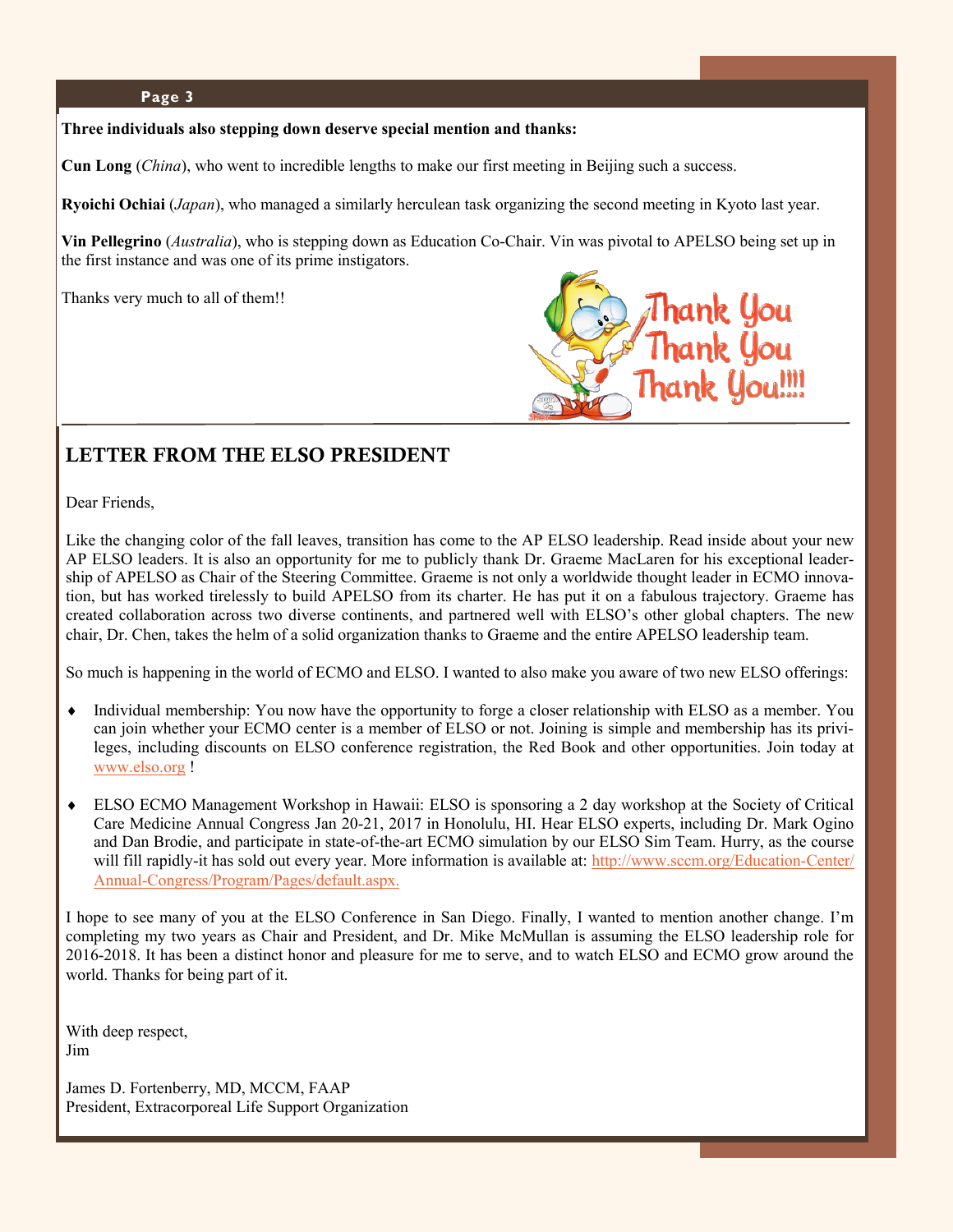#### **Page 3**

#### **Three individuals also stepping down deserve special mention and thanks:**

**Cun Long** (*China*), who went to incredible lengths to make our first meeting in Beijing such a success.

**Ryoichi Ochiai** (*Japan*), who managed a similarly herculean task organizing the second meeting in Kyoto last year.

**Vin Pellegrino** (*Australia*), who is stepping down as Education Co-Chair. Vin was pivotal to APELSO being set up in the first instance and was one of its prime instigators.

Thanks very much to all of them!!



### **LETTER FROM THE ELSO PRESIDENT**

Dear Friends,

Like the changing color of the fall leaves, transition has come to the AP ELSO leadership. Read inside about your new AP ELSO leaders. It is also an opportunity for me to publicly thank Dr. Graeme MacLaren for his exceptional leadership of APELSO as Chair of the Steering Committee. Graeme is not only a worldwide thought leader in ECMO innovation, but has worked tirelessly to build APELSO from its charter. He has put it on a fabulous trajectory. Graeme has created collaboration across two diverse continents, and partnered well with ELSO's other global chapters. The new chair, Dr. Chen, takes the helm of a solid organization thanks to Graeme and the entire APELSO leadership team.

So much is happening in the world of ECMO and ELSO. I wanted to also make you aware of two new ELSO offerings:

- Individual membership: You now have the opportunity to forge a closer relationship with ELSO as a member. You can join whether your ECMO center is a member of ELSO or not. Joining is simple and membership has its privileges, including discounts on ELSO conference registration, the Red Book and other opportunities. Join today at [www.elso.org](http://www.elso.org) !
- ELSO ECMO Management Workshop in Hawaii: ELSO is sponsoring a 2 day workshop at the Society of Critical Care Medicine Annual Congress Jan 20-21, 2017 in Honolulu, HI. Hear ELSO experts, including Dr. Mark Ogino and Dan Brodie, and participate in state-of-the-art ECMO simulation by our ELSO Sim Team. Hurry, as the course will fill rapidly-it has sold out every year. More information is available at: [http://www.sccm.org/Education](http://www.sccm.org/Education-Center/Annual-Congress/Program/Pages/default.aspx.)-Center/ Annual-[Congress/Program/Pages/default.aspx.](http://www.sccm.org/Education-Center/Annual-Congress/Program/Pages/default.aspx.)

I hope to see many of you at the ELSO Conference in San Diego. Finally, I wanted to mention another change. I'm completing my two years as Chair and President, and Dr. Mike McMullan is assuming the ELSO leadership role for 2016-2018. It has been a distinct honor and pleasure for me to serve, and to watch ELSO and ECMO grow around the world. Thanks for being part of it.

With deep respect, Jim

James D. Fortenberry, MD, MCCM, FAAP President, Extracorporeal Life Support Organization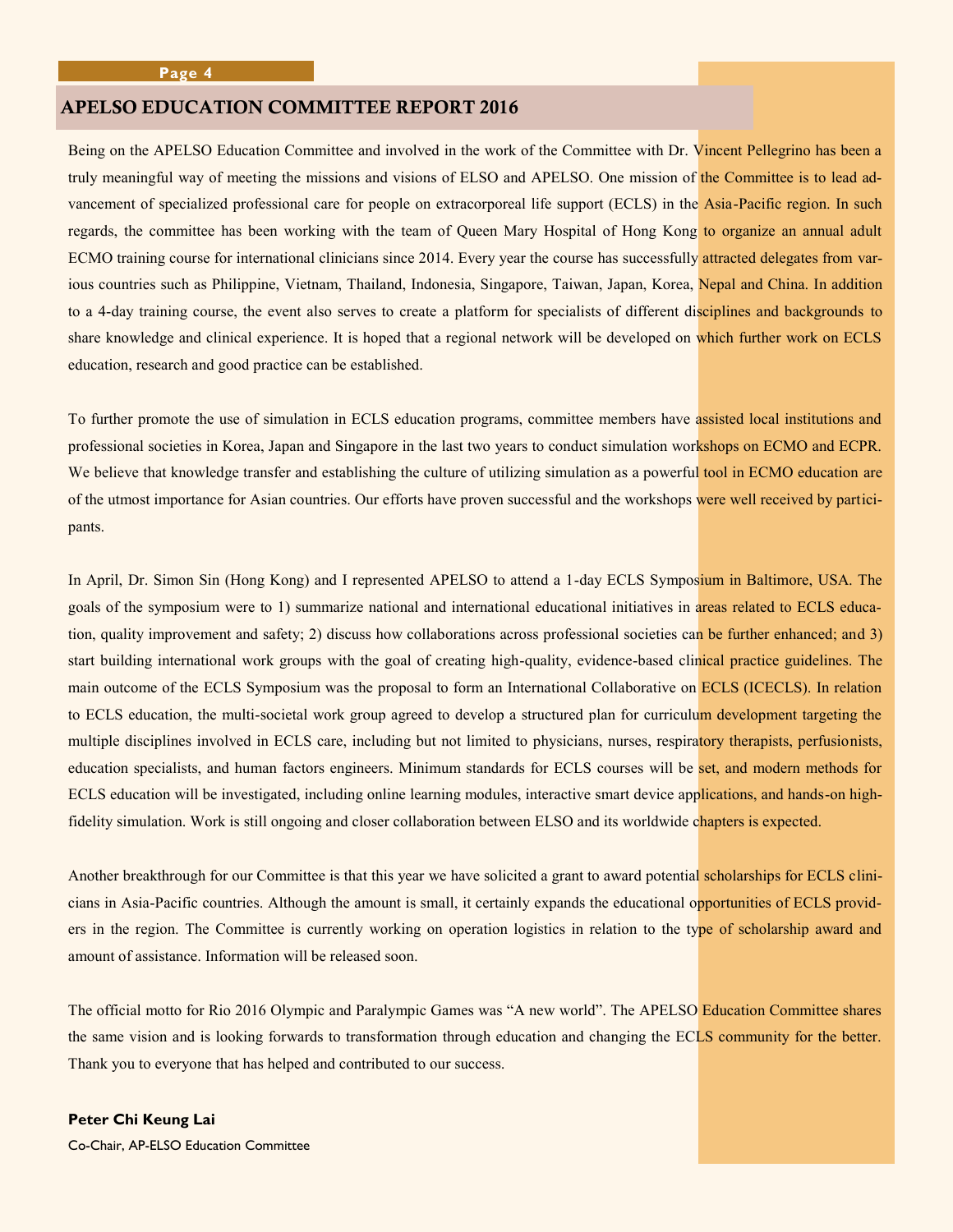#### **APELSO EDUCATION COMMITTEE REPORT 2016**

Being on the APELSO Education Committee and involved in the work of the Committee with Dr. Vincent Pellegrino has been a truly meaningful way of meeting the missions and visions of ELSO and APELSO. One mission of the Committee is to lead advancement of specialized professional care for people on extracorporeal life support (ECLS) in the Asia-Pacific region. In such regards, the committee has been working with the team of Queen Mary Hospital of Hong Kong to organize an annual adult ECMO training course for international clinicians since 2014. Every year the course has successfully attracted delegates from various countries such as Philippine, Vietnam, Thailand, Indonesia, Singapore, Taiwan, Japan, Korea, Nepal and China. In addition to a 4-day training course, the event also serves to create a platform for specialists of different disciplines and backgrounds to share knowledge and clinical experience. It is hoped that a regional network will be developed on which further work on ECLS education, research and good practice can be established.

To further promote the use of simulation in ECLS education programs, committee members have assisted local institutions and professional societies in Korea, Japan and Singapore in the last two years to conduct simulation workshops on ECMO and ECPR. We believe that knowledge transfer and establishing the culture of utilizing simulation as a powerful tool in ECMO education are of the utmost importance for Asian countries. Our efforts have proven successful and the workshops were well received by participants.

In April, Dr. Simon Sin (Hong Kong) and I represented APELSO to attend a 1-day ECLS Symposium in Baltimore, USA. The goals of the symposium were to 1) summarize national and international educational initiatives in areas related to ECLS education, quality improvement and safety; 2) discuss how collaborations across professional societies can be further enhanced; and 3) start building international work groups with the goal of creating high-quality, evidence-based clinical practice guidelines. The main outcome of the ECLS Symposium was the proposal to form an International Collaborative on ECLS (ICECLS). In relation to ECLS education, the multi-societal work group agreed to develop a structured plan for curriculum development targeting the multiple disciplines involved in ECLS care, including but not limited to physicians, nurses, respiratory therapists, perfusionists, education specialists, and human factors engineers. Minimum standards for ECLS courses will be set, and modern methods for ECLS education will be investigated, including online learning modules, interactive smart device applications, and hands-on highfidelity simulation. Work is still ongoing and closer collaboration between ELSO and its worldwide chapters is expected.

Another breakthrough for our Committee is that this year we have solicited a grant to award potential scholarships for ECLS clinicians in Asia-Pacific countries. Although the amount is small, it certainly expands the educational opportunities of ECLS providers in the region. The Committee is currently working on operation logistics in relation to the type of scholarship award and amount of assistance. Information will be released soon.

The official motto for Rio 2016 Olympic and Paralympic Games was "A new world". The APELSO Education Committee shares the same vision and is looking forwards to transformation through education and changing the ECLS community for the better. Thank you to everyone that has helped and contributed to our success.

#### **Peter Chi Keung Lai**

Co-Chair, AP-ELSO Education Committee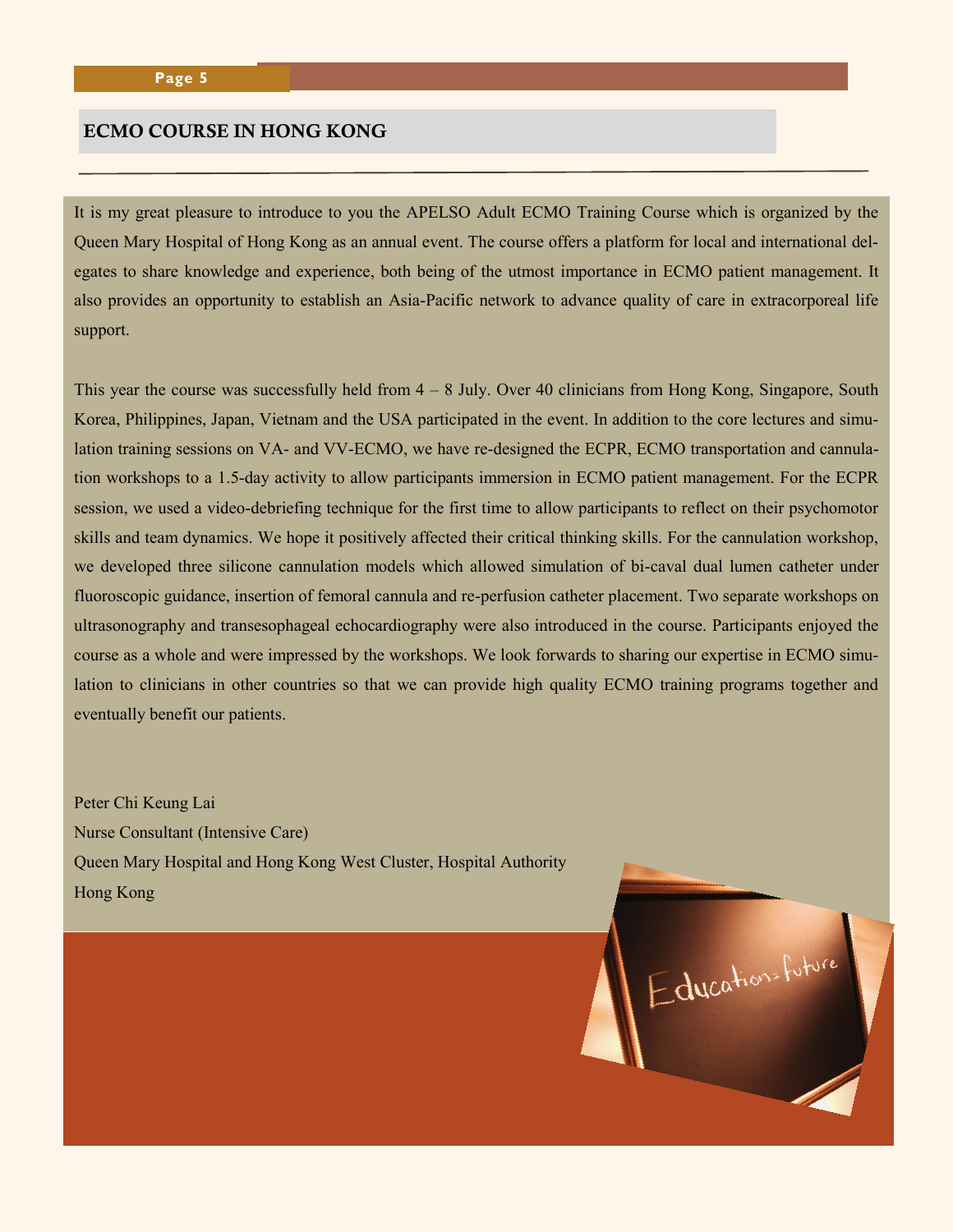#### **ECMO COURSE IN HONG KONG**

It is my great pleasure to introduce to you the APELSO Adult ECMO Training Course which is organized by the Queen Mary Hospital of Hong Kong as an annual event. The course offers a platform for local and international delegates to share knowledge and experience, both being of the utmost importance in ECMO patient management. It also provides an opportunity to establish an Asia-Pacific network to advance quality of care in extracorporeal life support.

This year the course was successfully held from  $4 - 8$  July. Over 40 clinicians from Hong Kong, Singapore, South Korea, Philippines, Japan, Vietnam and the USA participated in the event. In addition to the core lectures and simulation training sessions on VA- and VV-ECMO, we have re-designed the ECPR, ECMO transportation and cannulation workshops to a 1.5-day activity to allow participants immersion in ECMO patient management. For the ECPR session, we used a video-debriefing technique for the first time to allow participants to reflect on their psychomotor skills and team dynamics. We hope it positively affected their critical thinking skills. For the cannulation workshop, we developed three silicone cannulation models which allowed simulation of bi-caval dual lumen catheter under fluoroscopic guidance, insertion of femoral cannula and re-perfusion catheter placement. Two separate workshops on ultrasonography and transesophageal echocardiography were also introduced in the course. Participants enjoyed the course as a whole and were impressed by the workshops. We look forwards to sharing our expertise in ECMO simulation to clinicians in other countries so that we can provide high quality ECMO training programs together and eventually benefit our patients.

Education= future

Peter Chi Keung Lai Nurse Consultant (Intensive Care) Queen Mary Hospital and Hong Kong West Cluster, Hospital Authority Hong Kong